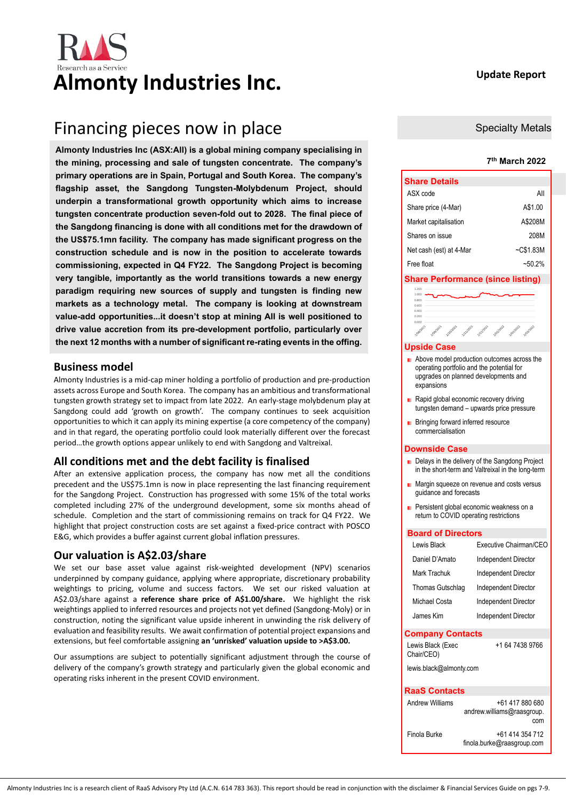# Almonty Industries Inc. **Example 20 Update Report**

# Financing pieces now in place

**Almonty Industries Inc (ASX:All) is a global mining company specialising in the mining, processing and sale of tungsten concentrate. The company's primary operations are in Spain, Portugal and South Korea. The company's flagship asset, the Sangdong Tungsten-Molybdenum Project, should underpin a transformational growth opportunity which aims to increase tungsten concentrate production seven-fold out to 2028. The final piece of the Sangdong financing is done with all conditions met for the drawdown of the US\$75.1mn facility. The company has made significant progress on the construction schedule and is now in the position to accelerate towards commissioning, expected in Q4 FY22. The Sangdong Project is becoming very tangible, importantly as the world transitions towards a new energy paradigm requiring new sources of supply and tungsten is finding new markets as a technology metal. The company is looking at downstream value-add opportunities...it doesn't stop at mining AII is well positioned to drive value accretion from its pre-development portfolio, particularly over the next 12 months with a number of significant re-rating events in the offing.**

# **Business model**

Almonty Industries is a mid-cap miner holding a portfolio of production and pre-production assets across Europe and South Korea. The company has an ambitious and transformational tungsten growth strategy set to impact from late 2022. An early-stage molybdenum play at Sangdong could add 'growth on growth'. The company continues to seek acquisition opportunities to which it can apply its mining expertise (a core competency of the company) and in that regard, the operating portfolio could look materially different over the forecast period…the growth options appear unlikely to end with Sangdong and Valtreixal.

# **All conditions met and the debt facility is finalised**

After an extensive application process, the company has now met all the conditions precedent and the US\$75.1mn is now in place representing the last financing requirement for the Sangdong Project. Construction has progressed with some 15% of the total works completed including 27% of the underground development, some six months ahead of schedule. Completion and the start of commissioning remains on track for Q4 FY22. We highlight that project construction costs are set against a fixed-price contract with POSCO E&G, which provides a buffer against current global inflation pressures.

# **Our valuation is A\$2.03/share**

We set our base asset value against risk-weighted development (NPV) scenarios underpinned by company guidance, applying where appropriate, discretionary probability weightings to pricing, volume and success factors. We set our risked valuation at A\$2.03/share against a **reference share price of A\$1.00/share.** We highlight the risk weightings applied to inferred resources and projects not yet defined (Sangdong-Moly) or in construction, noting the significant value upside inherent in unwinding the risk delivery of evaluation and feasibility results. We await confirmation of potential project expansions and extensions, but feel comfortable assigning **an 'unrisked' valuation upside to >A\$3.00.**

Our assumptions are subject to potentially significant adjustment through the course of delivery of the company's growth strategy and particularly given the global economic and operating risks inherent in the present COVID environment.

# Specialty Metals

## **7 th March 2022**

| <b>Share Details</b>    |            |
|-------------------------|------------|
| ASX code                | All        |
| Share price (4-Mar)     | A\$1.00    |
| Market capitalisation   | A\$208M    |
| Shares on issue         | 208M       |
| Net cash (est) at 4-Mar | $-C$1.83M$ |
| Free float              | ~50.2%     |

## **Share Performance (since listing)**

| <b>AND MOVE</b><br>1.000 |           |           |          |          |           |        |           |  |
|--------------------------|-----------|-----------|----------|----------|-----------|--------|-----------|--|
| 0.800                    |           |           |          |          |           |        |           |  |
| 0.600                    |           |           |          |          |           |        |           |  |
| 0.400                    |           |           |          |          |           |        |           |  |
| 0.200                    |           |           |          |          |           |        |           |  |
| 0.000                    |           |           |          |          |           |        |           |  |
| 2/08/2023                | 2/09/2021 | 2/10/2021 | 2/3/2021 | 2/2/2021 | 2/01/2022 | Nounon | 2/03/2022 |  |
| .                        |           |           |          |          |           |        |           |  |

#### **Upside Case**

- **Above model production outcomes across the** operating portfolio and the potential for upgrades on planned developments and expansions
- Rapid global economic recovery driving Ē. tungsten demand – upwards price pressure.
- **Bringing forward inferred resource** commercialisation

#### **Downside Case**

- Delays in the delivery of the Sangdong Project in the short-term and Valtreixal in the long-term
- **Margin squeeze on revenue and costs versus** guidance and forecasts
- **Persistent global economic weakness on a** return to COVID operating restrictions

#### **Board of Directors**

| Lewis Black                     | Executive Chairman/CEO                               |  |  |  |  |  |  |  |  |
|---------------------------------|------------------------------------------------------|--|--|--|--|--|--|--|--|
| Daniel D'Amato                  | Independent Director                                 |  |  |  |  |  |  |  |  |
| Mark Trachuk                    | Independent Director                                 |  |  |  |  |  |  |  |  |
| Thomas Gutschlag                | Independent Director                                 |  |  |  |  |  |  |  |  |
| Michael Costa                   | Independent Director                                 |  |  |  |  |  |  |  |  |
| James Kim                       | Independent Director                                 |  |  |  |  |  |  |  |  |
| <b>Company Contacts</b>         |                                                      |  |  |  |  |  |  |  |  |
| Lewis Black (Exec<br>Chair/CEO) | +1 64 7438 9766                                      |  |  |  |  |  |  |  |  |
| lewis.black@almonty.com         |                                                      |  |  |  |  |  |  |  |  |
| <b>RaaS Contacts</b>            |                                                      |  |  |  |  |  |  |  |  |
| <b>Andrew Williams</b>          | +61 417 880 680<br>andrew.williams@raasgroup.<br>com |  |  |  |  |  |  |  |  |
| Finola Burke                    | +61 414 354 712                                      |  |  |  |  |  |  |  |  |

finola.burke@raasgroup.com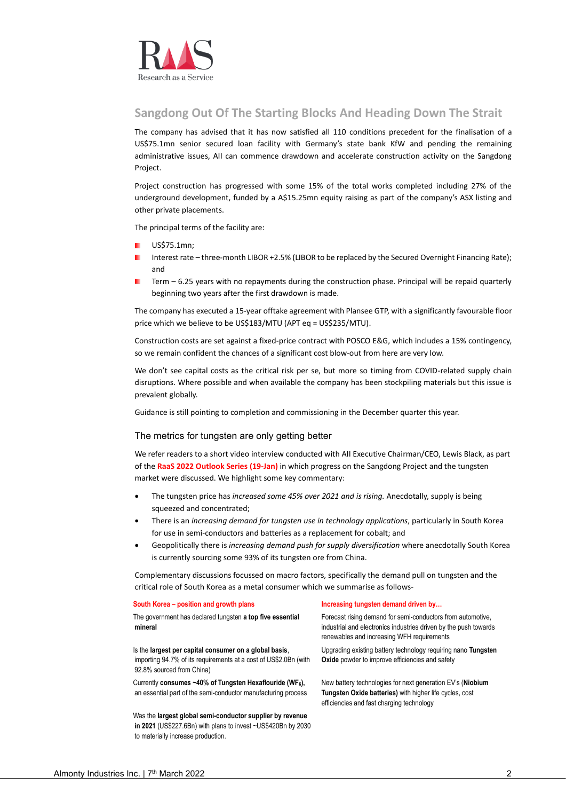

# **Sangdong Out Of The Starting Blocks And Heading Down The Strait**

The company has advised that it has now satisfied all 110 conditions precedent for the finalisation of a US\$75.1mn senior secured loan facility with Germany's state bank KfW and pending the remaining administrative issues, AII can commence drawdown and accelerate construction activity on the Sangdong Project.

Project construction has progressed with some 15% of the total works completed including 27% of the underground development, funded by a A\$15.25mn equity raising as part of the company's ASX listing and other private placements.

The principal terms of the facility are:

- US\$75.1mn;
- Interest rate three-month LIBOR +2.5% (LIBOR to be replaced by the Secured Overnight Financing Rate); and
- Term 6.25 years with no repayments during the construction phase. Principal will be repaid quarterly beginning two years after the first drawdown is made.

The company has executed a 15-year offtake agreement with Plansee GTP, with a significantly favourable floor price which we believe to be US\$183/MTU (APT eq = US\$235/MTU).

Construction costs are set against a fixed-price contract with POSCO E&G, which includes a 15% contingency, so we remain confident the chances of a significant cost blow-out from here are very low.

We don't see capital costs as the critical risk per se, but more so timing from COVID-related supply chain disruptions. Where possible and when available the company has been stockpiling materials but this issue is prevalent globally.

Guidance is still pointing to completion and commissioning in the December quarter this year.

### The metrics for tungsten are only getting better

We refer readers to a short video interview conducted with AII Executive Chairman/CEO, Lewis Black, as part of the **[RaaS 2022 Outlook Series \(19-Jan\)](https://www.raasgroup.com/interview-asxaii-24012022/)** in which progress on the Sangdong Project and the tungsten market were discussed. We highlight some key commentary:

- The tungsten price has *increased some 45% over 2021 and is rising.* Anecdotally, supply is being squeezed and concentrated;
- There is an *increasing demand for tungsten use in technology applications*, particularly in South Korea for use in semi-conductors and batteries as a replacement for cobalt; and
- Geopolitically there is *increasing demand push for supply diversification* where anecdotally South Korea is currently sourcing some 93% of its tungsten ore from China.

Complementary discussions focussed on macro factors, specifically the demand pull on tungsten and the critical role of South Korea as a metal consumer which we summarise as follows-

#### **South Korea – position and growth plans Increasing tungsten demand driven by…**

The government has declared tungsten **a top five essential mineral**

# Is the **largest per capital consumer on a global basis**,

importing 94.7% of its requirements at a cost of US\$2.0Bn (with 92.8% sourced from China)

Currently **consumes ~40% of Tungsten Hexaflouride (WF6),**  an essential part of the semi-conductor manufacturing process

Was the **largest global semi-conductor supplier by revenue in 2021** (US\$227.6Bn) with plans to invest ~US\$420Bn by 2030 to materially increase production.

Forecast rising demand for semi-conductors from automotive, industrial and electronics industries driven by the push towards renewables and increasing WFH requirements

Upgrading existing battery technology requiring nano **Tungsten Oxide** powder to improve efficiencies and safety

New battery technologies for next generation EV's (**Niobium Tungsten Oxide batteries)** with higher life cycles, cost efficiencies and fast charging technology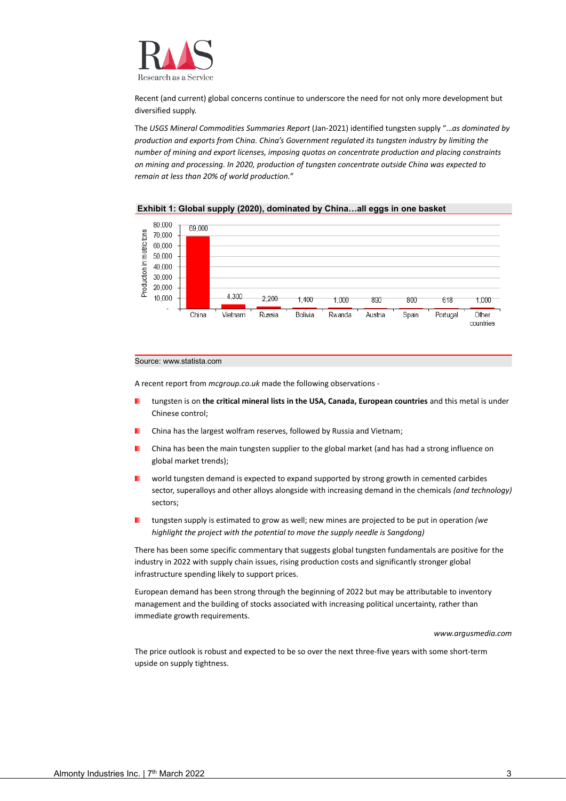

Recent (and current) global concerns continue to underscore the need for not only more development but diversified supply.

The *USGS Mineral Commodities Summaries Report* (Jan-2021) identified tungsten supply "…*as dominated by production and exports from China. China's Government regulated its tungsten industry by limiting the number of mining and export licenses, imposing quotas on concentrate production and placing constraints on mining and processing. In 2020, production of tungsten concentrate outside China was expected to remain at less than 20% of world production."*



**Exhibit 1: Global supply (2020), dominated by China…all eggs in one basket**

#### Source: www.statista.com

A recent report from *mcgroup.co.uk* made the following observations -

- ш tungsten is on **the critical mineral lists in the USA, Canada, European countries** and this metal is under Chinese control;
- China has the largest wolfram reserves, followed by Russia and Vietnam;
- China has been the main tungsten supplier to the global market (and has had a strong influence on global market trends);
- world tungsten demand is expected to expand supported by strong growth in cemented carbides sector, superalloys and other alloys alongside with increasing demand in the chemicals *(and technology)* sectors;
- tungsten supply is estimated to grow as well; new mines are projected to be put in operation *(we highlight the project with the potential to move the supply needle is Sangdong)*

There has been some specific commentary that suggests global tungsten fundamentals are positive for the industry in 2022 with supply chain issues, rising production costs and significantly stronger global infrastructure spending likely to support prices.

European demand has been strong through the beginning of 2022 but may be attributable to inventory management and the building of stocks associated with increasing political uncertainty, rather than immediate growth requirements.

#### *www.argusmedia.com*

The price outlook is robust and expected to be so over the next three-five years with some short-term upside on supply tightness.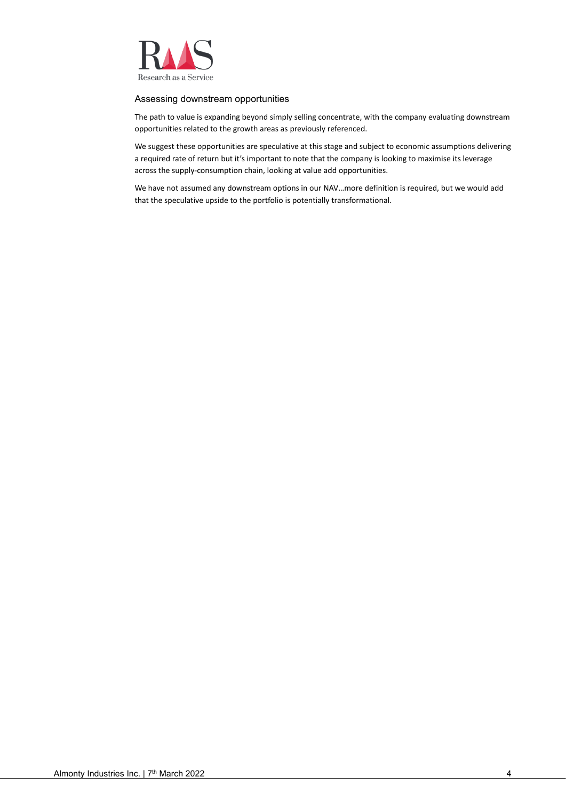

## Assessing downstream opportunities

The path to value is expanding beyond simply selling concentrate, with the company evaluating downstream opportunities related to the growth areas as previously referenced.

We suggest these opportunities are speculative at this stage and subject to economic assumptions delivering a required rate of return but it's important to note that the company is looking to maximise its leverage across the supply-consumption chain, looking at value add opportunities.

We have not assumed any downstream options in our NAV…more definition is required, but we would add that the speculative upside to the portfolio is potentially transformational.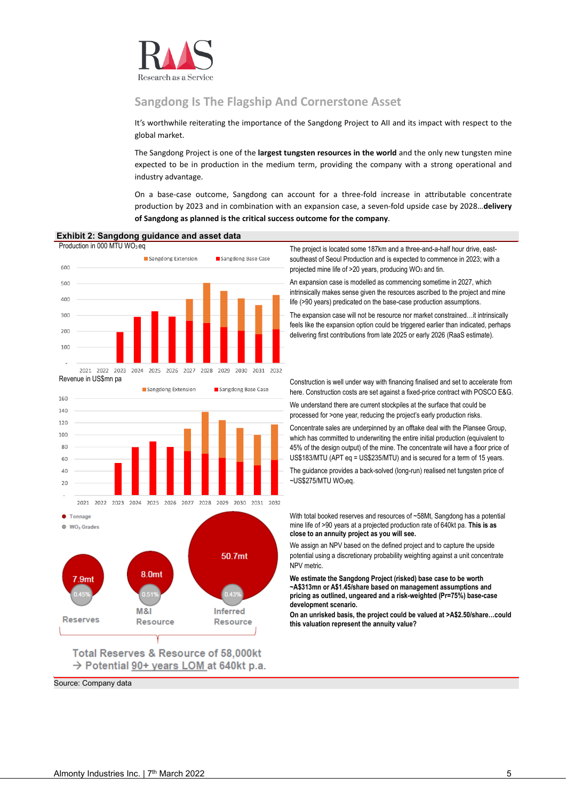

# **Sangdong Is The Flagship And Cornerstone Asset**

It's worthwhile reiterating the importance of the Sangdong Project to AII and its impact with respect to the global market.

The Sangdong Project is one of the **largest tungsten resources in the world** and the only new tungsten mine expected to be in production in the medium term, providing the company with a strong operational and industry advantage.

On a base-case outcome, Sangdong can account for a three-fold increase in attributable concentrate production by 2023 and in combination with an expansion case, a seven-fold upside case by 2028…**delivery of Sangdong as planned is the critical success outcome for the company**.



Source: Company data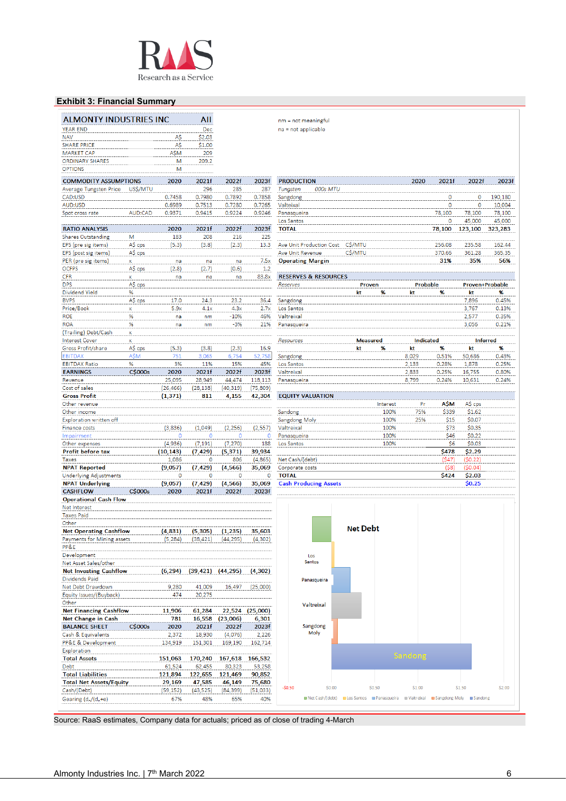

# **Exhibit 3: Financial Summary**

| <b>ALMONTY INDUSTRIES INC</b>                              |              |                    | All               |                    |                     | nm = not meaningful                                                                                       |                 |              |                  |                |                  |                |
|------------------------------------------------------------|--------------|--------------------|-------------------|--------------------|---------------------|-----------------------------------------------------------------------------------------------------------|-----------------|--------------|------------------|----------------|------------------|----------------|
| <b>YEAR END</b>                                            |              |                    | Dec               |                    |                     | na = not applicable                                                                                       |                 |              |                  |                |                  |                |
| <b>NAV</b>                                                 |              | A\$                | \$2.03            |                    |                     |                                                                                                           |                 |              |                  |                |                  |                |
| <b>SHARE PRICE</b>                                         |              | A\$                | \$1.00            |                    |                     |                                                                                                           |                 |              |                  |                |                  |                |
| <b>MARKET CAP</b><br><b>ORDINARY SHARES</b>                |              | A\$M<br>M          | 209<br>209.2      |                    |                     |                                                                                                           |                 |              |                  |                |                  |                |
| <b>OPTIONS</b>                                             |              | M                  |                   |                    |                     |                                                                                                           |                 |              |                  |                |                  |                |
| <b>COMMODITY ASSUMPTIONS</b>                               |              | 2020               | 2021f             | 2022f              | 2023f               | <b>PRODUCTION</b>                                                                                         |                 |              | 2020             | 2021f          | 2022f            | 2023f          |
| Average Tungsten Price                                     | US\$/MTU     |                    | 296               | 285                | 287                 | 000s MTU<br>Tungsten                                                                                      |                 |              |                  |                |                  |                |
| CAD:USD                                                    |              | 0.7458             | 0.7980            | 0.7892             | 0.7858              | Sangdong                                                                                                  |                 |              |                  | 0              | 0                | 190,180        |
| AUD:USD                                                    |              | 0.6989             | 0.7513            | 0.7280             | 0.7265              | Valteixal                                                                                                 |                 |              |                  | 0              | 0                | 10,004         |
| Spot cross rate                                            | AUD:CAD      | 0.9371             | 0.9415            | 0.9224             | 0.9246              | Panasqueira                                                                                               |                 |              |                  | 78.100         | 78,100           | 78,100         |
|                                                            |              |                    |                   |                    |                     | Los Santos                                                                                                |                 |              |                  | 0              | 45,000           | 45,000         |
| <b>RATIO ANALYSIS</b>                                      |              | 2020               | 2021f             | 2022f              | 2023f               | <b>TOTAL</b>                                                                                              |                 |              |                  | 78,100         | 123,100          | 323,283        |
| <b>Shares Outstanding</b><br>EPS (pre sig items)           | M<br>A\$ cps | 183<br>(5.3)       | 208<br>(3.8)      | 216<br>(2.3)       | 225<br>13.3         | Ave Unit Production Cost                                                                                  | C\$/MTU         |              |                  | 256.08         | 235.58           | 162.44         |
| EPS (post sig items)                                       | A\$ cps      |                    |                   |                    |                     | <b>Ave Unit Revenue</b>                                                                                   | C\$/MTU         |              |                  | 370.66         | 361.28           | 365.35         |
| PER (pre sig items)                                        | x            | na                 | na                | na                 | 7.5x                | <b>Operating Margin</b>                                                                                   |                 |              |                  | 31%            | 35%              | 56%            |
| <b>OCFPS</b>                                               | A\$ cps      | (2.8)              | (2.7)             | (0.6)              | 1.2                 |                                                                                                           |                 |              |                  |                |                  |                |
| <b>CFR</b>                                                 | X            | na                 | na                | na                 | 83.8x               | <b>RESERVES &amp; RESOURCES</b>                                                                           |                 |              |                  |                |                  |                |
| <b>DPS</b>                                                 | A\$ cps      |                    |                   |                    |                     | Reserves                                                                                                  | Proven          |              | Probable         |                | Proven+Probable  |                |
| Dividend Yield                                             | %            |                    |                   |                    |                     |                                                                                                           | kt              | %            | kt               | %              | kt               | %              |
| <b>BVPS</b><br>Price/Book                                  | A\$ cps<br>X | 17.0<br>5.9x       | 24.3<br>4.1x      | 23.2<br>4.3x       | 36.4<br>2.7x        | Sangdong<br>Los Santos                                                                                    |                 |              |                  |                | 7,896<br>3,767   | 0.45%<br>0.13% |
| <b>ROE</b>                                                 | %            | na                 | nm                | $-10%$             | 46%                 | Valtreixal                                                                                                |                 |              |                  |                | 2,577            | 0.35%          |
| <b>ROA</b>                                                 | %            | na                 | nm                | $-3%$              | 21%                 | Panasqueira                                                                                               |                 |              |                  |                | 3,056            | 0.21%          |
| (Trailing) Debt/Cash                                       | X            |                    |                   |                    |                     |                                                                                                           |                 |              |                  |                |                  |                |
| <b>Interest Cover</b>                                      | x            |                    |                   |                    |                     | Resources                                                                                                 | <b>Measured</b> |              | <b>Indicated</b> |                | <b>Inferred</b>  |                |
| Gross Profit/share                                         | A\$ cps      | (5.3)              | (3.8)             | (2.3)              | 16.9                |                                                                                                           | kt              | %            | kt               | %              | kt               | %              |
| <b>EBITDAX</b>                                             | <b>AŚM</b>   | 751                | 3,065             | 6,754              | 52,758              | Sangdong                                                                                                  |                 |              | 8,029            | 0.51%          | 50,686           | 0.43%          |
| <b>EBITDAX Ratio</b><br><b>EARNINGS</b>                    | %<br>C\$000s | 3%<br>2020         | 11%<br>2021f      | 15%<br>2022f       | 45%<br>2023f        | Los Santos<br>Valtreixal                                                                                  |                 |              | 2,133<br>2,833   | 0.28%<br>0.25% | 1,878<br>16,755  | 0.25%<br>0.80% |
| Revenue                                                    |              | 25,095             | 28,949            | 44,474             | 118,113             | Panasqueira                                                                                               |                 |              | 8,799            | 0.24%          | 10,631           | 0.24%          |
| Cost of sales                                              |              | (26, 466)          | (28, 138)         | (40, 319)          | (75,809)            |                                                                                                           |                 |              |                  |                |                  |                |
| <b>Gross Profit</b>                                        |              | (1, 371)           | 811               | 4,155              | 42,304              | <b>EQUITY VALUATION</b>                                                                                   |                 |              |                  |                |                  |                |
| Other revenue                                              |              |                    |                   |                    |                     |                                                                                                           |                 | Interest     | Pr               | <b>ASM</b>     | A\$ cps          |                |
| Other income                                               |              |                    |                   |                    |                     | Sandong                                                                                                   |                 | 100%         | 75%              | \$339          | \$1.62           |                |
| Exploration written off                                    |              |                    |                   |                    |                     | Sangdong Moly                                                                                             |                 | 100%         | 25%              | \$15           | \$0.07           |                |
| Finance costs<br>Impairment                                |              | (3,836)<br>$\circ$ | (1,049)<br>0      | (2, 256)<br>0      | (2, 557)<br>$\circ$ | Valtreixal<br>Panasqueira                                                                                 |                 | 100%<br>100% |                  | \$73<br>\$46   | \$0.35<br>\$0.22 |                |
| Other expenses                                             |              | (4,936)            | (7, 191)          | (7, 270)           | 188                 | Los Santos                                                                                                |                 | 100%         |                  | \$6            | \$0.03           |                |
| Profit before tax                                          |              | (10, 143)          | (7, 429)          | (5, 371)           | 39,934              |                                                                                                           |                 |              |                  | \$478          | \$2.29           |                |
| Taxes                                                      |              | 1,086              | 0                 | 806                | (4,865)             | Net Cash/(debt)                                                                                           |                 |              |                  | (\$47)         | (\$0.22)         |                |
| <b>NPAT Reported</b>                                       |              | (9,057)            | (7, 429)          | (4, 566)           | 35,069              | Corporate costs                                                                                           |                 |              |                  | $($ \$8)       | (\$0.04)         |                |
| <b>Underlying Adjustments</b>                              |              | 0                  | 0                 | 0                  | 0                   | <b>TOTAL</b>                                                                                              |                 |              |                  | \$424          | \$2.03           |                |
| <b>NPAT Underlying</b><br><b>CASHFLOW</b>                  | C\$000s      | (9,057)            | (7, 429)          | (4, 566)           | 35,069              | <b>Cash Producing Assets</b>                                                                              |                 |              |                  |                | \$0.25           |                |
| <b>Operational Cash Flow</b>                               |              | 2020               | 2021f             | 2022f              | 2023f               |                                                                                                           |                 |              |                  |                |                  |                |
| Net Interest                                               |              |                    |                   |                    |                     |                                                                                                           |                 |              |                  |                |                  |                |
| <b>Taxes Paid</b>                                          |              |                    |                   |                    |                     |                                                                                                           |                 |              |                  |                |                  |                |
| Other                                                      |              |                    |                   |                    |                     |                                                                                                           |                 |              |                  |                |                  |                |
| <b>Net Operating Cashflow</b>                              |              | (4,831)            | (5,305)           | (1, 235)           | 35,603              |                                                                                                           | <b>Net Debt</b> |              |                  |                |                  |                |
| Payments for Mining assets                                 |              | (5, 284)           | (38, 421)         | (44, 295)          | (4, 302)            |                                                                                                           |                 |              |                  |                |                  |                |
| PP&E<br>Development                                        |              |                    |                   |                    |                     | Los                                                                                                       |                 |              |                  |                |                  |                |
| Net Asset Sales/other                                      |              |                    |                   |                    |                     | <b>Santos</b>                                                                                             |                 |              |                  |                |                  |                |
| <b>Net Investing Cashflow</b>                              |              | (6, 294)           | (39, 421)         | (44,295)           | (4, 302)            |                                                                                                           |                 |              |                  |                |                  |                |
| <b>Dividends Paid</b>                                      |              |                    |                   |                    |                     | Panasqueira                                                                                               |                 |              |                  |                |                  |                |
| Net Debt Drawdown                                          |              | 9,280              | 41,009            | 16,497             | (25,000)            |                                                                                                           |                 |              |                  |                |                  |                |
| Equity Issues/(Buyback)                                    |              | 474                | 20,275            |                    |                     |                                                                                                           |                 |              |                  |                |                  |                |
| Other                                                      |              |                    |                   |                    |                     | Valtreixal                                                                                                |                 |              |                  |                |                  |                |
| <b>Net Financing Cashflow</b><br>Net Change in Cash        |              | 11,906<br>781      | 61,284<br>16,558  | 22,524<br>(23,006) | (25,000)<br>6,301   |                                                                                                           |                 |              |                  |                |                  |                |
| <b>BALANCE SHEET</b>                                       | C\$000s      | 2020               | 2021f             | 2022f              | 2023f               | Sangdong                                                                                                  |                 |              |                  |                |                  |                |
| Cash & Equivalents                                         |              | 2,372              | 18,930            | (4,076)            | 2,226               | Moly                                                                                                      |                 |              |                  |                |                  |                |
| PP&E & Development                                         |              | 134,919            | 151,301           | 169,190            | 162,714             |                                                                                                           |                 |              |                  |                |                  |                |
| Exploration                                                |              |                    |                   |                    |                     |                                                                                                           |                 |              | <b>Sandong</b>   |                |                  |                |
| <b>Total Assets</b>                                        |              | 151,063            | 170,240           | 167,618            | 166,532             |                                                                                                           |                 |              |                  |                |                  |                |
| Debt                                                       |              | 61,524             | 62,455            | 80,323             | 53,258              |                                                                                                           |                 |              |                  |                |                  |                |
| <b>Total Liabilities</b><br><b>Total Net Assets/Equity</b> |              | 121,894<br>29,169  | 122,655<br>47,585 | 121,469<br>46,149  | 90,852<br>75,680    |                                                                                                           |                 |              |                  |                |                  |                |
| Cash/(Debt)                                                |              | (59, 152)          | (43, 525)         | (84, 399)          | (51,033)            | $-50.50$<br>\$0.00                                                                                        | \$0.50          |              | \$1.00           |                | \$1.50           | \$2.00         |
| Gearing $(d_n/(d_n+e))$                                    |              | 67%                | 48%               | 65%                | 40%                 | <b>III</b> Net Cash/(debt) <b>III</b> Los Santos <b>III</b> Panasqueira III Valtreixal IIII Sangdong Moly |                 |              |                  |                | <b>■Sandong</b>  |                |
|                                                            |              |                    |                   |                    |                     |                                                                                                           |                 |              |                  |                |                  |                |
|                                                            |              |                    |                   |                    |                     |                                                                                                           |                 |              |                  |                |                  |                |

Source: RaaS estimates, Company data for actuals; priced as of close of trading 4-March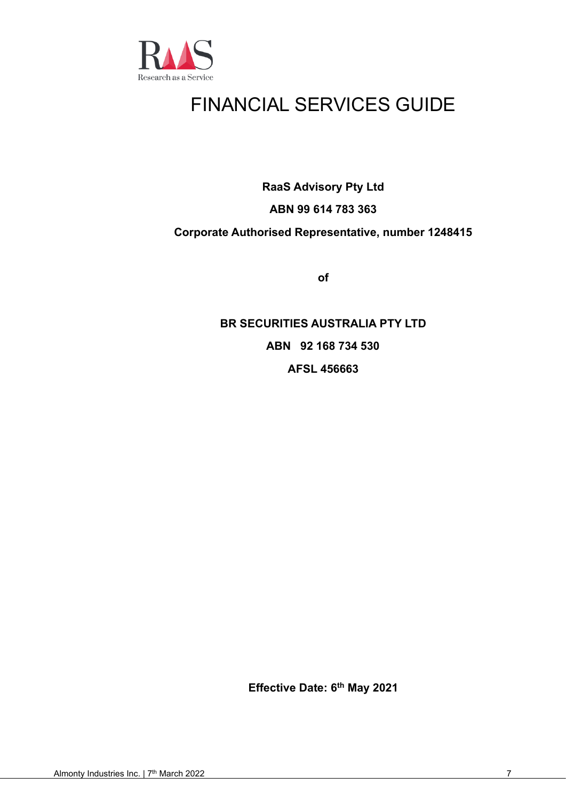

# FINANCIAL SERVICES GUIDE

**RaaS Advisory Pty Ltd**

# **ABN 99 614 783 363**

# **Corporate Authorised Representative, number 1248415**

**of**

**BR SECURITIES AUSTRALIA PTY LTD ABN 92 168 734 530 AFSL 456663**

**Effective Date: 6 th May 2021**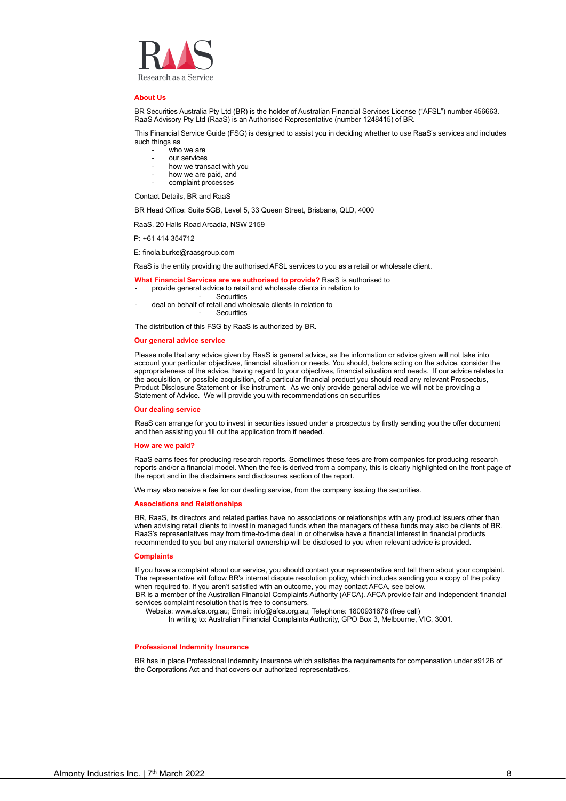

#### **About Us**

BR Securities Australia Pty Ltd (BR) is the holder of Australian Financial Services License ("AFSL") number 456663. RaaS Advisory Pty Ltd (RaaS) is an Authorised Representative (number 1248415) of BR.

This Financial Service Guide (FSG) is designed to assist you in deciding whether to use RaaS's services and includes such things as

- who we are
- our services
- how we transact with you
- how we are paid, and
- complaint processes

Contact Details, BR and RaaS

BR Head Office: Suite 5GB, Level 5, 33 Queen Street, Brisbane, QLD, 4000

RaaS. 20 Halls Road Arcadia, NSW 2159

P: +61 414 354712

E: finola.burke@raasgroup.com

RaaS is the entity providing the authorised AFSL services to you as a retail or wholesale client.

- **What Financial Services are we authorised to provide?** RaaS is authorised to
- provide general advice to retail and wholesale clients in relation to
	- **Securities**
- deal on behalf of retail and wholesale clients in relation to **Securities**

The distribution of this FSG by RaaS is authorized by BR.

#### **Our general advice service**

Please note that any advice given by RaaS is general advice, as the information or advice given will not take into account your particular objectives, financial situation or needs. You should, before acting on the advice, consider the appropriateness of the advice, having regard to your objectives, financial situation and needs. If our advice relates to the acquisition, or possible acquisition, of a particular financial product you should read any relevant Prospectus, Product Disclosure Statement or like instrument. As we only provide general advice we will not be providing a Statement of Advice. We will provide you with recommendations on securities

#### **Our dealing service**

RaaS can arrange for you to invest in securities issued under a prospectus by firstly sending you the offer document and then assisting you fill out the application from if needed.

#### **How are we paid?**

RaaS earns fees for producing research reports. Sometimes these fees are from companies for producing research reports and/or a financial model. When the fee is derived from a company, this is clearly highlighted on the front page of the report and in the disclaimers and disclosures section of the report.

We may also receive a fee for our dealing service, from the company issuing the securities.

#### **Associations and Relationships**

BR, RaaS, its directors and related parties have no associations or relationships with any product issuers other than when advising retail clients to invest in managed funds when the managers of these funds may also be clients of BR. RaaS's representatives may from time-to-time deal in or otherwise have a financial interest in financial products recommended to you but any material ownership will be disclosed to you when relevant advice is provided.

#### **Complaints**

If you have a complaint about our service, you should contact your representative and tell them about your complaint. The representative will follow BR's internal dispute resolution policy, which includes sending you a copy of the policy when required to. If you aren't satisfied with an outcome, you may contact AFCA, see below.

BR is a member of the Australian Financial Complaints Authority (AFCA). AFCA provide fair and independent financial services complaint resolution that is free to consumers.

Website[: www.afca.org.au;](http://www.afca.org.au/) Email: [info@afca.org.au;](mailto:info@afca.org.au) Telephone: 1800931678 (free call)

In writing to: Australian Financial Complaints Authority, GPO Box 3, Melbourne, VIC, 3001.

#### **Professional Indemnity Insurance**

BR has in place Professional Indemnity Insurance which satisfies the requirements for compensation under s912B of the Corporations Act and that covers our authorized representatives.